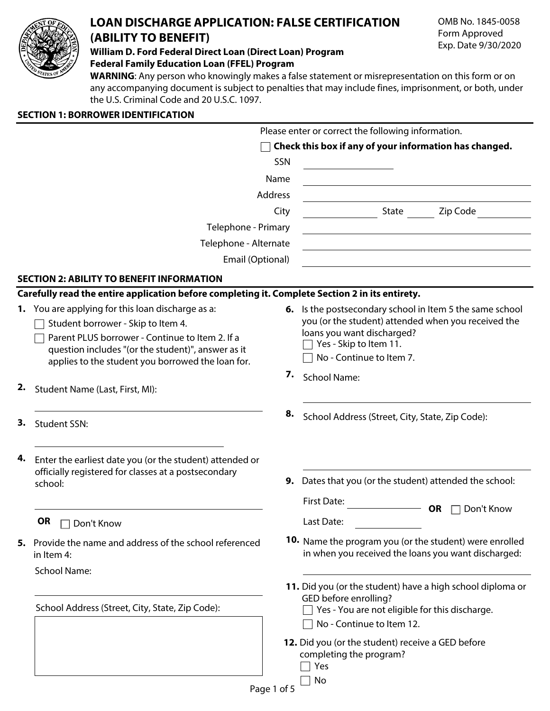

# **LOAN DISCHARGE APPLICATION: FALSE CERTIFICATION (ABILITY TO BENEFIT)**

**William D. Ford Federal Direct Loan (Direct Loan) Program Federal Family Education Loan (FFEL) Program**

**WARNING**: Any person who knowingly makes a false statement or misrepresentation on this form or on any accompanying document is subject to penalties that may include fines, imprisonment, or both, under the U.S. Criminal Code and 20 U.S.C. 1097.

# **SECTION 1: BORROWER IDENTIFICATION**

|                                                                                                 | Please enter or correct the following information.                                                              |
|-------------------------------------------------------------------------------------------------|-----------------------------------------------------------------------------------------------------------------|
|                                                                                                 | Check this box if any of your information has changed.                                                          |
|                                                                                                 | SSN                                                                                                             |
|                                                                                                 | Name<br><u> 1989 - Johann Barbara, martxa alemaniar arg</u>                                                     |
|                                                                                                 | Address                                                                                                         |
|                                                                                                 | State Zip Code<br>City                                                                                          |
| Telephone - Primary                                                                             |                                                                                                                 |
| Telephone - Alternate                                                                           | the control of the control of the control of the control of the control of the control of                       |
| Email (Optional)                                                                                | the control of the control of the control of the control of the control of the control of                       |
|                                                                                                 |                                                                                                                 |
| <b>SECTION 2: ABILITY TO BENEFIT INFORMATION</b>                                                |                                                                                                                 |
| Carefully read the entire application before completing it. Complete Section 2 in its entirety. |                                                                                                                 |
| 1. You are applying for this loan discharge as a:<br>Student borrower - Skip to Item 4.         | 6. Is the postsecondary school in Item 5 the same school<br>you (or the student) attended when you received the |
| Parent PLUS borrower - Continue to Item 2. If a                                                 | loans you want discharged?                                                                                      |
| question includes "(or the student)", answer as it                                              | Yes - Skip to Item 11.                                                                                          |
| applies to the student you borrowed the loan for.                                               | No - Continue to Item 7.                                                                                        |
|                                                                                                 | 7.<br><b>School Name:</b>                                                                                       |
| 2.<br>Student Name (Last, First, MI):                                                           |                                                                                                                 |
|                                                                                                 | 8.<br>School Address (Street, City, State, Zip Code):                                                           |
| 3.<br><b>Student SSN:</b>                                                                       |                                                                                                                 |
| 4.<br>Enter the earliest date you (or the student) attended or                                  |                                                                                                                 |
| officially registered for classes at a postsecondary                                            |                                                                                                                 |
| school:                                                                                         | <b>9.</b> Dates that you (or the student) attended the school:                                                  |
|                                                                                                 | <b>First Date:</b><br>Don't Know<br><b>OR</b>                                                                   |
| <b>OR</b><br>□ Don't Know                                                                       | Last Date:                                                                                                      |
| 5. Provide the name and address of the school referenced<br>in Item 4:                          | 10. Name the program you (or the student) were enrolled<br>in when you received the loans you want discharged:  |
| <b>School Name:</b>                                                                             |                                                                                                                 |
|                                                                                                 | 11. Did you (or the student) have a high school diploma or                                                      |
|                                                                                                 | GED before enrolling?                                                                                           |
| School Address (Street, City, State, Zip Code):                                                 | Yes - You are not eligible for this discharge.                                                                  |
|                                                                                                 | No - Continue to Item 12.                                                                                       |
|                                                                                                 | 12. Did you (or the student) receive a GED before                                                               |
|                                                                                                 | completing the program?                                                                                         |
|                                                                                                 | Yes                                                                                                             |
|                                                                                                 | No<br>Page 1 of 5                                                                                               |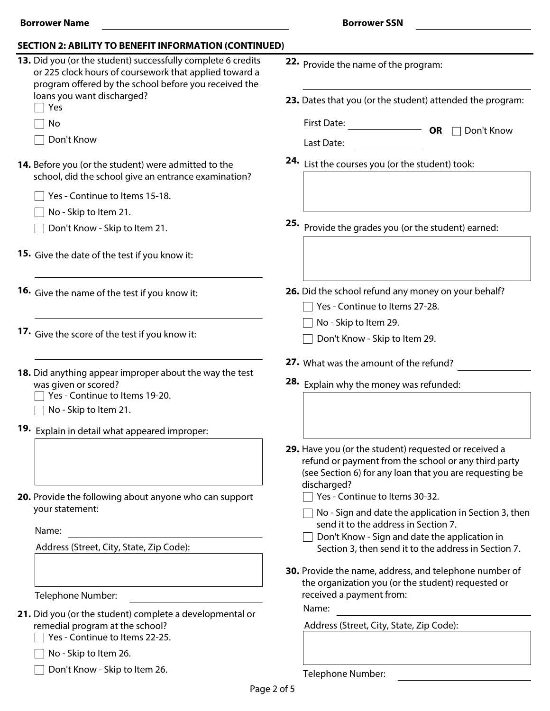| 13. Did you (or the student) successfully complete 6 credits<br>or 225 clock hours of coursework that applied toward a<br>program offered by the school before you received the | 22. Provide the name of the program:                                                                                                                                                    |
|---------------------------------------------------------------------------------------------------------------------------------------------------------------------------------|-----------------------------------------------------------------------------------------------------------------------------------------------------------------------------------------|
| loans you want discharged?<br>Yes                                                                                                                                               | 23. Dates that you (or the student) attended the program:                                                                                                                               |
| No                                                                                                                                                                              | <b>First Date:</b><br><b>OR</b><br>Don't Know                                                                                                                                           |
| Don't Know                                                                                                                                                                      | Last Date:                                                                                                                                                                              |
| 14. Before you (or the student) were admitted to the<br>school, did the school give an entrance examination?                                                                    | 24. List the courses you (or the student) took:                                                                                                                                         |
| Yes - Continue to Items 15-18.                                                                                                                                                  |                                                                                                                                                                                         |
| No - Skip to Item 21.                                                                                                                                                           |                                                                                                                                                                                         |
| Don't Know - Skip to Item 21.                                                                                                                                                   | 25.<br>Provide the grades you (or the student) earned:                                                                                                                                  |
| <b>15.</b> Give the date of the test if you know it:                                                                                                                            |                                                                                                                                                                                         |
| 16. Give the name of the test if you know it:                                                                                                                                   | 26. Did the school refund any money on your behalf?<br>Yes - Continue to Items 27-28.                                                                                                   |
|                                                                                                                                                                                 | No - Skip to Item 29.                                                                                                                                                                   |
| 17. Give the score of the test if you know it:                                                                                                                                  | Don't Know - Skip to Item 29.                                                                                                                                                           |
| 18. Did anything appear improper about the way the test<br>was given or scored?<br>Yes - Continue to Items 19-20.<br>No - Skip to Item 21.                                      | 27. What was the amount of the refund?<br>28. Explain why the money was refunded:                                                                                                       |
| 19. Explain in detail what appeared improper:                                                                                                                                   |                                                                                                                                                                                         |
|                                                                                                                                                                                 | 29. Have you (or the student) requested or received a<br>refund or payment from the school or any third party<br>(see Section 6) for any loan that you are requesting be<br>discharged? |
| 20. Provide the following about anyone who can support<br>your statement:                                                                                                       | Yes - Continue to Items 30-32.<br>No - Sign and date the application in Section 3, then                                                                                                 |
| Name:                                                                                                                                                                           | send it to the address in Section 7.<br>Don't Know - Sign and date the application in                                                                                                   |
| Address (Street, City, State, Zip Code):                                                                                                                                        | Section 3, then send it to the address in Section 7.                                                                                                                                    |
| Telephone Number:                                                                                                                                                               | 30. Provide the name, address, and telephone number of<br>the organization you (or the student) requested or<br>received a payment from:                                                |
|                                                                                                                                                                                 | Name:                                                                                                                                                                                   |
| 21. Did you (or the student) complete a developmental or<br>remedial program at the school?<br>Yes - Continue to Items 22-25.                                                   | Address (Street, City, State, Zip Code):                                                                                                                                                |
| No - Skip to Item 26.                                                                                                                                                           |                                                                                                                                                                                         |
| Don't Know - Skip to Item 26.                                                                                                                                                   | Telenhone Number                                                                                                                                                                        |

Page 2 of 5

Telephone Number: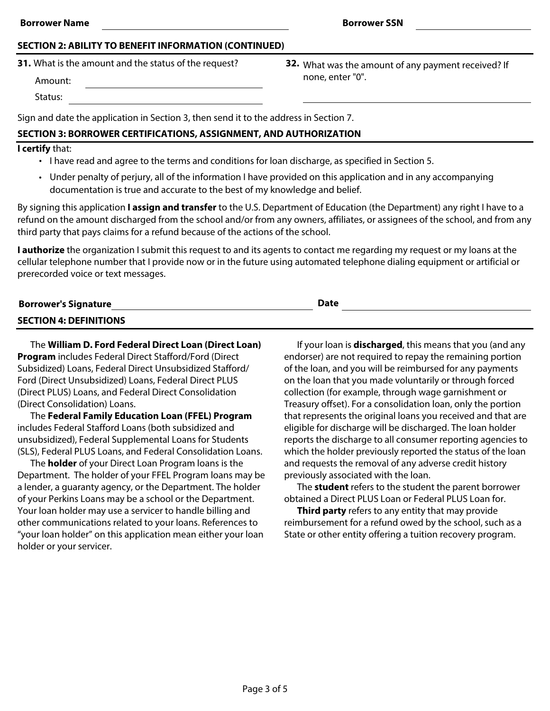#### **SECTION 2: ABILITY TO BENEFIT INFORMATION (CONTINUED)**

**31.** What is the amount and the status of the request?

Amount:

Status:

Sign and date the application in Section 3, then send it to the address in Section 7.

# **SECTION 3: BORROWER CERTIFICATIONS, ASSIGNMENT, AND AUTHORIZATION**

#### **I certify** that:

- I have read and agree to the terms and conditions for loan discharge, as specified in Section 5.
- Under penalty of perjury, all of the information I have provided on this application and in any accompanying documentation is true and accurate to the best of my knowledge and belief.

By signing this application **I assign and transfer** to the U.S. Department of Education (the Department) any right I have to a refund on the amount discharged from the school and/or from any owners, affiliates, or assignees of the school, and from any third party that pays claims for a refund because of the actions of the school.

**I authorize** the organization I submit this request to and its agents to contact me regarding my request or my loans at the cellular telephone number that I provide now or in the future using automated telephone dialing equipment or artificial or prerecorded voice or text messages.

| <b>Borrower's Signature</b>   | <b>Date</b> |
|-------------------------------|-------------|
| <b>SECTION 4: DEFINITIONS</b> |             |

The **William D. Ford Federal Direct Loan (Direct Loan) Program** includes Federal Direct Stafford/Ford (Direct Subsidized) Loans, Federal Direct Unsubsidized Stafford/ Ford (Direct Unsubsidized) Loans, Federal Direct PLUS (Direct PLUS) Loans, and Federal Direct Consolidation (Direct Consolidation) Loans.

The **Federal Family Education Loan (FFEL) Program** includes Federal Stafford Loans (both subsidized and unsubsidized), Federal Supplemental Loans for Students (SLS), Federal PLUS Loans, and Federal Consolidation Loans.

The **holder** of your Direct Loan Program loans is the Department. The holder of your FFEL Program loans may be a lender, a guaranty agency, or the Department. The holder of your Perkins Loans may be a school or the Department. Your loan holder may use a servicer to handle billing and other communications related to your loans. References to "your loan holder" on this application mean either your loan holder or your servicer.

If your loan is **discharged**, this means that you (and any endorser) are not required to repay the remaining portion of the loan, and you will be reimbursed for any payments on the loan that you made voluntarily or through forced collection (for example, through wage garnishment or Treasury offset). For a consolidation loan, only the portion that represents the original loans you received and that are eligible for discharge will be discharged. The loan holder reports the discharge to all consumer reporting agencies to which the holder previously reported the status of the loan and requests the removal of any adverse credit history previously associated with the loan.

The **student** refers to the student the parent borrower obtained a Direct PLUS Loan or Federal PLUS Loan for.

**Third party** refers to any entity that may provide reimbursement for a refund owed by the school, such as a State or other entity offering a tuition recovery program.

**32.** What was the amount of any payment received? If none, enter "0".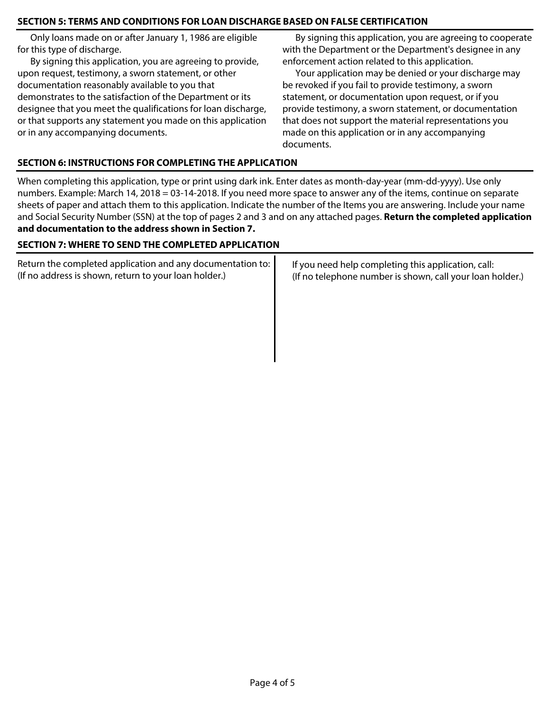## **SECTION 5: TERMS AND CONDITIONS FOR LOAN DISCHARGE BASED ON FALSE CERTIFICATION**

Only loans made on or after January 1, 1986 are eligible for this type of discharge.

By signing this application, you are agreeing to provide, upon request, testimony, a sworn statement, or other documentation reasonably available to you that demonstrates to the satisfaction of the Department or its designee that you meet the qualifications for loan discharge, or that supports any statement you made on this application or in any accompanying documents.

By signing this application, you are agreeing to cooperate with the Department or the Department's designee in any enforcement action related to this application.

Your application may be denied or your discharge may be revoked if you fail to provide testimony, a sworn statement, or documentation upon request, or if you provide testimony, a sworn statement, or documentation that does not support the material representations you made on this application or in any accompanying documents.

## **SECTION 6: INSTRUCTIONS FOR COMPLETING THE APPLICATION**

When completing this application, type or print using dark ink. Enter dates as month-day-year (mm-dd-yyyy). Use only numbers. Example: March 14, 2018 = 03-14-2018. If you need more space to answer any of the items, continue on separate sheets of paper and attach them to this application. Indicate the number of the Items you are answering. Include your name and Social Security Number (SSN) at the top of pages 2 and 3 and on any attached pages. **Return the completed application and documentation to the address shown in Section 7.**

### **SECTION 7: WHERE TO SEND THE COMPLETED APPLICATION**

| Return the completed application and any documentation to:<br>(If no address is shown, return to your loan holder.) | If you need help completing this application, call:<br>(If no telephone number is shown, call your loan holder.) |
|---------------------------------------------------------------------------------------------------------------------|------------------------------------------------------------------------------------------------------------------|
|                                                                                                                     |                                                                                                                  |
|                                                                                                                     |                                                                                                                  |